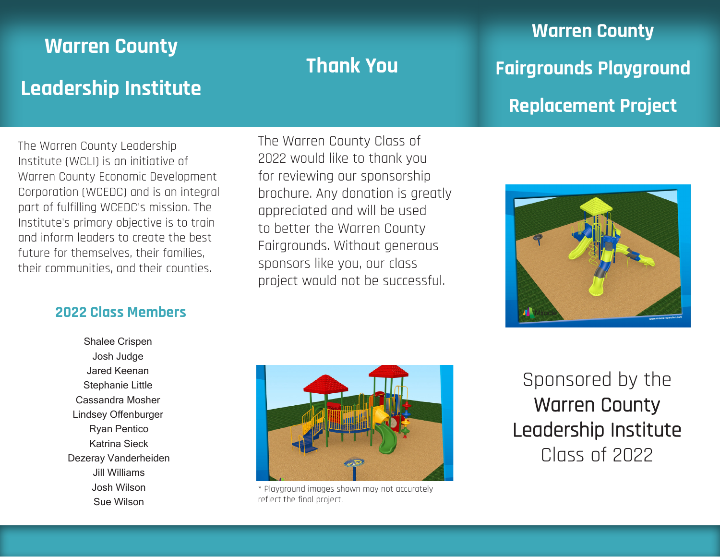# **Warren County Leadership Institute**

The Warren County Leadership Institute (WCLI) is an initiative of Warren County Economic Development Corporation (WCEDC) and is an integral part of fulfilling WCEDC's mission. The Institute's primary objective is to train and inform leaders to create the best future for themselves, their families, their communities, and their counties.

## **2022 Class Members**

Shalee Crispen Josh Judge Jared Keenan Stephanie Little Cassandra Mosher Lindsey Offenburger Ryan Pentico Katrina Sieck Dezeray Vanderheiden Jill Williams Josh Wilson Sue Wilson

## The Warren County Class of 2022 would like to thank you for reviewing our sponsorship brochure. Any donation is greatly appreciated and will be used to better the Warren County Fairgrounds. Without generous sponsors like you, our class project would not be successful.

**Thank You**

**Warren County Fairgrounds Playground Replacement Project**





\* Playground images shown may not accurately reflect the final project.

Sponsored by the Warren County Leadership Institute Class of 2022